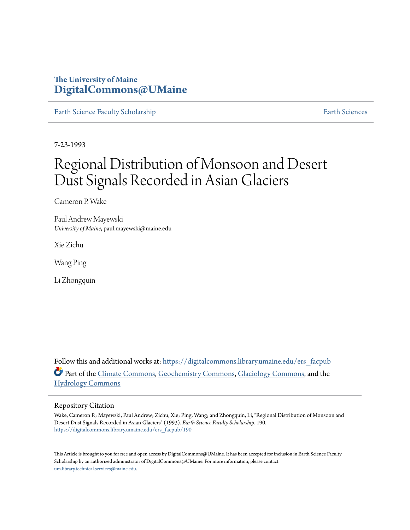# **The University of Maine [DigitalCommons@UMaine](https://digitalcommons.library.umaine.edu?utm_source=digitalcommons.library.umaine.edu%2Fers_facpub%2F190&utm_medium=PDF&utm_campaign=PDFCoverPages)**

[Earth Science Faculty Scholarship](https://digitalcommons.library.umaine.edu/ers_facpub?utm_source=digitalcommons.library.umaine.edu%2Fers_facpub%2F190&utm_medium=PDF&utm_campaign=PDFCoverPages) **[Earth Sciences](https://digitalcommons.library.umaine.edu/ers?utm_source=digitalcommons.library.umaine.edu%2Fers_facpub%2F190&utm_medium=PDF&utm_campaign=PDFCoverPages)** 

7-23-1993

# Regional Distribution of Monsoon and Desert Dust Signals Recorded in Asian Glaciers

Cameron P. Wake

Paul Andrew Mayewski *University of Maine*, paul.mayewski@maine.edu

Xie Zichu

Wang Ping

Li Zhongquin

Follow this and additional works at: [https://digitalcommons.library.umaine.edu/ers\\_facpub](https://digitalcommons.library.umaine.edu/ers_facpub?utm_source=digitalcommons.library.umaine.edu%2Fers_facpub%2F190&utm_medium=PDF&utm_campaign=PDFCoverPages) Part of the [Climate Commons,](http://network.bepress.com/hgg/discipline/188?utm_source=digitalcommons.library.umaine.edu%2Fers_facpub%2F190&utm_medium=PDF&utm_campaign=PDFCoverPages) [Geochemistry Commons,](http://network.bepress.com/hgg/discipline/157?utm_source=digitalcommons.library.umaine.edu%2Fers_facpub%2F190&utm_medium=PDF&utm_campaign=PDFCoverPages) [Glaciology Commons](http://network.bepress.com/hgg/discipline/159?utm_source=digitalcommons.library.umaine.edu%2Fers_facpub%2F190&utm_medium=PDF&utm_campaign=PDFCoverPages), and the [Hydrology Commons](http://network.bepress.com/hgg/discipline/1054?utm_source=digitalcommons.library.umaine.edu%2Fers_facpub%2F190&utm_medium=PDF&utm_campaign=PDFCoverPages)

# Repository Citation

Wake, Cameron P.; Mayewski, Paul Andrew; Zichu, Xie; Ping, Wang; and Zhongquin, Li, "Regional Distribution of Monsoon and Desert Dust Signals Recorded in Asian Glaciers" (1993). *Earth Science Faculty Scholarship*. 190. [https://digitalcommons.library.umaine.edu/ers\\_facpub/190](https://digitalcommons.library.umaine.edu/ers_facpub/190?utm_source=digitalcommons.library.umaine.edu%2Fers_facpub%2F190&utm_medium=PDF&utm_campaign=PDFCoverPages)

This Article is brought to you for free and open access by DigitalCommons@UMaine. It has been accepted for inclusion in Earth Science Faculty Scholarship by an authorized administrator of DigitalCommons@UMaine. For more information, please contact [um.library.technical.services@maine.edu](mailto:um.library.technical.services@maine.edu).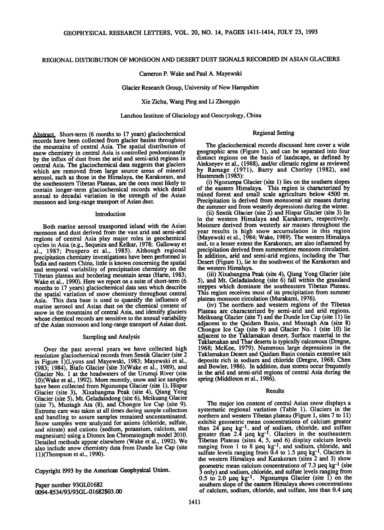# **REGIONAL DISTRIBUTION OF MONSOON AND DESERT DUST SIGNALS RECORDED IN ASIAN GLACIERS**

**Cameron P. Wake and Paul A. Mayewski** 

**Glacier Research Group, University of New Hampshire** 

**Xie Zichu, Wang Ping and Li Zhongqin** 

**Lanzhou Institute of Glaciology and Geocryology, China** 

### **Regional Setting**

**Abstract. Short-term (6 months to 17 years) glaciochemical records have been collected from glacier basins throughout the mountains of central Asia. The spatial distribution of snow chemistry in central Asia is controlled predominantly by the influx of dust from the arid and semi-arid regions in central Asia. The glaciochemical data suggests that glaciers which are removed from large source areas of mineral aerosol, such as those in the Himalaya, the Karakoram, and the southeastern Tibetan Plateau, are the ones most likely to contain longer-term glaciochemical records which detail annual to decadal variation in the strength of the Asian monsoon and long-range transport of Asian dust.** 

#### **Introduction**

**Both marine aerosol transported inland with the Asian monsoon and dust derived from the vast arid and semi-arid regions of central Asia play major roles in geochemical cycles in Asia (e.g., Sequeira and Kelkar, 1978; Galloway et al., 1987; Prospero et al., 1985). Although regional precipitation chemistry investigations have been performed in India and eastern China, little is known concerning the spatial and temporal variability of precipitation chemistry on the Tibetan plateau and bordering mountain areas (Harte, 1983; Wake et al., 1990). Here we report on a suite of short-term (6 months to 17 years) glaciochemical data sets which describe the spatial variation of snow chemistry throughout central Asia. This data base is used to quantify the influence of marine aerosol and Asian dust on the chemical content of snow in the mountains of central Asia, and identify glaciers whose chemical records are sensitive to the annual variability of the Asian monsoon and long-range transport of Asian dust.** 

#### **Sampling and Analysis**

**Over the past several years we have collected high resolution glaciochemical records from Sentik Glacier (site 2 in Figure 1)(Lyons and Mayewski, 1983; Mayewski et al., 1983; 1984), Biafo Glacier (site 3)(Wake et al., 1989), and Glacier No. 1 at the headwaters of the Urumqi River (site 10)(Wake et al., 1992). More recently, snow and ice samples have been collected from Ngozumpa Glacier (site 1), Hispar Glacier (site 3), Xixabangma Peak (site 4), Qiang Yong Glacier (site 5), Mt. Geladaindong (site 6), Meikuang Glacier (site 7), Mustagh Ata (8), and Chongce Ice Cap (site 9). Extreme care was taken at all times during sample collection and handling to assure samples remained uncontaminated. Snow samples were analyzed for anions (chloride, sulfate, and nitrate) and cations (sodium, potassium, calcium, and magnesium) using a Dionex Ion Chromatograph model 2010. Detailed methods appear elsewhere (Wake et al., 1992). We also include snow chemistry data from Dunde Ice Cap (site 11)(Thompson et al., 1990).** 

**Copyright 1993 by the American Geophysical Union.** 

**Paper number 93GL01682 0094- 8534/93/93 GL-01682503.00** 

**The glaciochemical records discussed here cover a wide geographic area (Figure 1), and can be separated into four distinct regions on the basis of landscape, as defined by Alekseyev et al., (1988), and/or climatic regime as reviewed by Ramage (1971), Barry and Chorley (1982), and Hastenrath (1985):** 

**(i) Ngozumpa Glacier (site 1) lies on the southern slopes of the eastern Himalaya. This region is characterized by mixed forest and small scale agriculture below 4500 m. Precipitation is derived from monsoonal air masses during the summer and from westerly depressions during the winter.** 

**(ii) Sentik Glacier (site 2) and Hispar Glacier (site 3) lie in the western Himalaya and Karakoram, respectively. Moisture derived from westerly air masses throughout the year results is high snow accumulation in this region (Mayewski et al., 1984; Wake, 1989). The western Himalaya and, to a lesser extent the Karakoram, are also influenced by precipitation derived from summertime monsoon circulation.**  In addition, arid and semi-arid regions, including the Thar **Desert (Figure 1), lie to the southwest of the Karakoram and the western Himalaya.** 

**(iii) Xixabangma Peak (site 4), Qiang Yong Glacier (site 5), and Mt. Geladaindong (site 6) fall within the grassland steppes which dominate the southeastern Tibetan Plateau. This region receives most of its precipitation from summer plateau monsoon circulation (Murakami, 1976).** 

**(iv) The northern and western regions of the Tibetan Plateau are characterized by semi-arid and arid regions. Meikuang Glacier (site 7) and the Dunde Ice Cap (site 11) lie**  adjacent to the Qaidam Basin, and Mustagh Ata (site 8) **Chongce Ice Cap (site 9) and Glacier No. 1 (site 10) lie adjacento the Taklamakan desert. Surface material in the Taklamakan and Thar deserts is typically calcareous (Dregne, 1968; McKee, 1979). Numerous large depressions in the Taklamakan Desert and Qaidam Basin contain extensive salt deposits rich in sodium and chloride (Dregne, 1968; Chen and Bowler, 1986). In addition, dust storms occur frequently**  in the arid and semi-arid regions of central Asia during the **spring (Middleton et al., 1986).** 

#### **Results**

**The major ion content of central Asian snow displays a**  systematic regional variation (Table 1). Glaciers in the northern and western Tibetan plateau (Figure 1, sites 7 to 11) **northern and western Tibetan plateau (Figure 1, sites 7 to 11) exhibit geometric mean concentrations of calcium greater**  than 24 µeq kg<sup>-1</sup>, and of sodium, chloride, and sulfate greater than 2.4 µeq kg<sup>-1</sup>. Glaciers in the southeastern **in Tibetan Plateau (sites 4, 5, and 6) display calcium levels ranging from 1 to 8 geq kg -1, and sodium, chloride, and**  sulfate levels ranging from 0.4 to 1.5 µeq kg<sup>-1</sup>. Glaciers in **the western Himalaya and Karakoram (sites 2 and 3) show**  geometric mean calcium concentrations of 7.3 µeq kg<sup>-1</sup> (site **3 only) and sodium, chloride, and sulfate levels ranging from**   $0.5$  to 2.0  $\mu$ eq kg<sup>-1</sup>. Ngozumpa Glacier (site 1) on the **southern slope of the eastern Himalaya shows concentrations**  of calcium, sodium, chloride, and sulfate, less than 0.4 µeq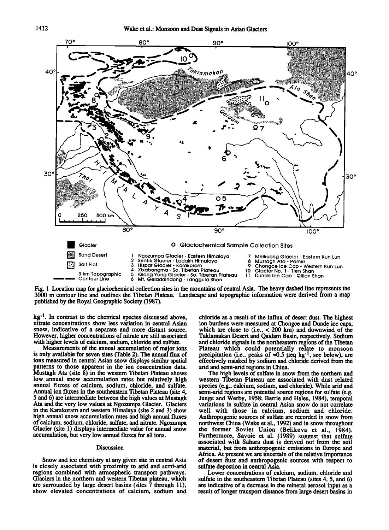

Fig. 1 Location map for glaciochemical collection sites in the mountains of central Asia. The heavy dashed line represents the **3000 m contour line and outlines the Tibetan Plateau. Landscape and topographic information were derived from a map published by the Royal Geographic Society (1987).** 

**kg -1. In contrast to the chemical species discussed above, nitrate concentrations show less variation in central Asian snow, indicative of a separate and more distant source. However, higher concentrations of nitrate are still associated with higher levels of calcium, sodium, chloride and sulfate.** 

**Measurements of the annual accumulation of major ions is only available for seven sites (Table 2). The annual flux of ions measured in central Asian snow displays similar spatial patterns to those apparent in the ion concentration data. Mustagh Ata (site 8) in the western Tibetan Plateau shows low annual snow accumulation rates but relatively high annual fluxes of calcium, sodium, chloride, and sulfate. Annual ion fluxes in the southeastern Tibetan Plateau (site 4, 5 and 6) are intermediate between the high values at Mustagh Ata and the very low values at Ngozumpa Glacier. Glaciers in the Karakoram and western Himalaya (site 2 and 3) show high annual snow accumulation rates and high annual fluxes of calcium, sodium, chloride, sulfate, and nitrate. Ngozumpa Glacier (site 1) displays intermediate value for annual snow accumulation, but very low annual fluxes for all ions.** 

#### **Discussion**

**Snow and ice chemistry at any given site in central Asia is closely associated with' proximity to arid and semi-arid regions combined with atmospheric transport pathways. Glaciers in the northern and western Tibetan plateau, which are surrounded by large desert basins (sites 7 through 11), show elevated concentrations of calcium, sodium and** 

**-chloride as a result of the influx of desert dust. The highest ion burdens were measured at Chongce and Dunde ice caps, which are close to (i.e., < 200 km) and downwind of the Taklamakan Desert and Qaidam Basin, respectively. Sodium and chloride signals in the northeastern regions of the Tibetan Plateau which could potentially relate to monsoon**  precipitation (i.e., peaks of  $\approx 0.5 \text{ }\mu\text{eq}\text{ }\text{kg}^{-1}$ , see below), are **effectively masked by sodium and chloride derived from the arid and semi-arid regions in China.** 

**The high levels of sulfate in snow from the northern and western Tibetan Plateau are associated with dust related species (e.g., calcium, sodium, and chloride). While arid and**  semi-arid regions are potential source regions for sulfate (e.g.  $\overline{ }$ **Junge and Werby, 1958; Barrie and Hales, 1984), temporal variations in sulfate in central Asian snow do not correlate well with those in calcium, sodium and chloride. Anthropogenic sources of sulfate are recorded in snow from northwest China (Wake et al., 1992) and in snow throughout the former Soviet Union (Belikova et al., 1984).**  Furthermore, Savoie et al. (1989) suggest that sulfate **associated with Sahara dust is derived not from the soil material, but from anthropogenic emissions in Europe and Africa. At present we are uncertain of the relative importance of desert dust and anthropogenic sources with respect to sulfate depostion in central Asia.** 

**Lower concentrations of calcium, sodium, chloride and sulfate in the southeastern Tibetan Plateau (sites 4, 5, and 6) are indicative of a decrease in the mineral aerosol input as a result of longer transport distance from large desert basins in**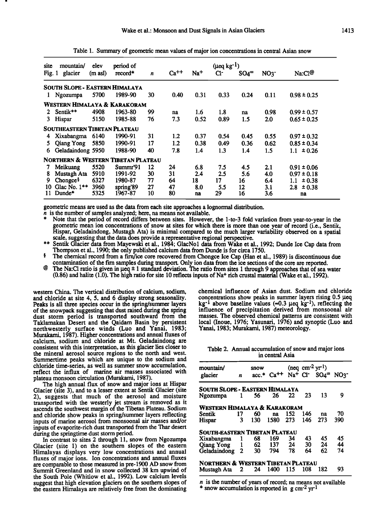| ۳ | i |
|---|---|

| site<br>Fig. 1                                | mountain/<br>glacier                  | elev<br>(m asl) | period of<br>record* | n  | $Ca^{++}$ | $Na+$ | $(\mu$ eq kg <sup>-1</sup> )<br>Cŀ | $SO_4$ = | NO <sub>3</sub> | Na:C1@          |
|-----------------------------------------------|---------------------------------------|-----------------|----------------------|----|-----------|-------|------------------------------------|----------|-----------------|-----------------|
|                                               | <b>SOUTH SLOPE - EASTERN HIMALAYA</b> |                 |                      |    |           |       |                                    |          |                 |                 |
| 1                                             | Ngozumpa                              | 5700            | 1989-90              | 30 | 0.40      | 0.31  | 0.33                               | 0.24     | 0.11            | $0.98 \pm 0.25$ |
| Western Himalaya & Karakoram                  |                                       |                 |                      |    |           |       |                                    |          |                 |                 |
| 2                                             | Sentik**                              | 4908            | 1963-80              | 99 | na        | 1.6   | 1.8                                | na       | 0.98            | $0.99 \pm 0.57$ |
| 3                                             | Hispar                                | 5150            | 1985-88              | 76 | 7.3       | 0.52  | 0.89                               | 1.5      | 2.0             | $0.65 \pm 0.25$ |
|                                               | <b>SOUTHEASTERN TIBETAN PLATEAU</b>   |                 |                      |    |           |       |                                    |          |                 |                 |
|                                               | Xixabangma                            | 6140            | 1990-91              | 31 | 1.2       | 0.37  | 0.54                               | 0.45     | 0.55            | $0.97 \pm 0.32$ |
|                                               | <b>Qiang Yong</b>                     | 5850            | 1990-91              | 17 | 1.2       | 0.38  | 0.49                               | 0.36     | 0.62            | $0.85 \pm 0.34$ |
| 6                                             | Geladaindong 5950                     |                 | 1988-90              | 40 | 7.8       | 1.4   | 1.3                                | 1.4      | 1.5             | $1.1 \pm 0.26$  |
| <b>NORTHERN &amp; WESTERN TIBETAN PLATEAU</b> |                                       |                 |                      |    |           |       |                                    |          |                 |                 |
|                                               | Meikuang                              | 5520            | Summr'91             | 12 | 24        | 6.8   | 7.5                                | 4.5      | 2.1             | $0.91 \pm 0.06$ |
| 8                                             | Mustagh Ata                           | 5910            | 1991-92              | 30 | 31        | 2.4   | 2.5                                | 5.6      | 4.0             | $0.97 \pm 0.18$ |
| 9                                             | Chongce <sup>§</sup>                  | 6327            | 1980-87              | 77 | 64        | 18    | 17                                 | 16       | 6.4             | ± 0.38<br>1.1   |
| 10                                            | Glac No. $1**$                        | 3960            | spring'89            | 27 | 47        | 8.0   | 5.5                                | 12       | 3.1             | ± 0.38<br>2.8   |
| 11                                            | Dunde*                                | 5325            | 1967-87              | 10 | 80        | na    | 29                                 | 16       | 3.6             | na              |

**Table 1. Summary of geometric mean values of major ion concentrations incentral Asian snow** 

**geometric means are used as the data from each site approaches a lognormal distribution.** 

**n is the number of samples analyzed; here, na means not available.** 

Note that the period of record differs between sites. However, the 1-to-3 fold variation from year-to-year in the **geometric mean ion concentrations ofsnow at sites for which there is more than one year of record (i.e., Sentik, Hispar, Geladaindong, Mustagh Ata) is minimal compared to the much larger variability observed on a spatial scale, suggesting that the data does provide a representative rgional perspective.** 

Sentik Glacier data from Mayewski et al., 1984; GlacNo1 data from Wake et al., 1992; Dunde Ice Cap data from **Thompson et al., 1990; the only published calcium data from Dunde is for circa 1750.** 

<sup>§</sup> The chemical record from a firm/ice core recovered from Chongce Ice Cap (Han et al., 1989) is discontinuous due contamination of the firn samples during transport. Only ion data from the ice sections of the core are reported.

**@** The Na:CI ratio is given in  $\mu$ eq  $\pm$  1 standard deviation. The ratio from sites 1 through 9 approaches that of sea water (0.86) and halite (1.0). The high ratio for site 10 reflects inputs of Na<sup>+</sup> rich crustal material (Wake et al., 1992).

**western China. The vertical distribution of calcium, sodium, and chloride at site 4, 5, and 6 display strong seasonality. Peaks is all three species occur in the spring/summer layers of the snowpack suggesting that dust raised during the spring dust storm period is transported southward from the Taklamakan Desert and the Qaidam Basin by persistent northwesterly surface winds (Luo and Yanai, 1983; Murakami, 1987). Higher concentrations and annual fluxes of calcium, sodium and chloride at Mt. Geladaindong are consistent with this interpretation, as this glacier lies closer to the mineral aerosol source regions to the north and west. Summertime peaks which are unique to the sodium and chloride time-series, as well as summer snow accumulation, reflect the influx of marine air masses associated with plateau monsoon circulation (Murakami, 1987).** 

**The high annual flux of snow and major ions at Hispar Glacier (site 3), and to a lesser extent at Sentik Glacier (site 2), suggests that much of the aerosol and moisture transported with the westerly jet stream is removed as it ascends the southwest margin of the Tibetan Plateau. Sodium and chloride show peaks in spring/summer layers reflecting**  inputs of marine aerosol from monsoonal air masses and/or **inputs of evaporite-rich dust transported from the Thar desert during the springtime dust storm period.** 

In contrast to sites 2 through 11, snow from Ngozumpa **Glacier (site 1) on the southern slopes of the eastern Himalayas displays very low concentrations and annual fluxes of major ions. Ion concentrations and annual fluxes are comparable to those measured in pre-1900 AD snow from Summit Greenland and in snow collected 38 km upwind of the South Pole (Whitlow et al., 1992). Low calcium levels suggest that high elevation glaciers on the southern slopes of the eastern Himalaya are relatively free from the dominating** 

**chemical influence of Asian dust. Sodium and chloride**  concentrations show peaks in summer layers rising 0.5 µeq kg<sup>-1</sup> above baseline values (=0.3 µeq kg<sup>-1</sup>), reflecting the **influence of precipitation derived from monsoonal air masses. The observed chemical patterns are consistent with**  local (Inoue, 1976; Yasunari, 1976) and synoptic (Luo and Yanai, 1983; Murakami, 1987) meteorology.

**Table 2. Annual accumulation of snow and major ions in central Asia** 

| mountain/                          |              | snow    |      |     |     | $(neq cm-2 yr-1)$                                                                                   |     |
|------------------------------------|--------------|---------|------|-----|-----|-----------------------------------------------------------------------------------------------------|-----|
| glacier                            | n            | $acc.*$ |      |     |     | $Ca^{++}$ Na <sup>+</sup> Cl <sup>-</sup> SO <sub>4</sub> <sup>=</sup> NO <sub>3</sub> <sup>-</sup> |     |
| SOUTH SLOPE - EASTERN HIMALAYA     |              |         |      |     |     |                                                                                                     |     |
| Ngozumpa                           | $1 \quad$    | 56      | 26   | 22  | 23  | 13                                                                                                  | 9   |
| Western Himalaya & Karakoram       |              |         |      |     |     |                                                                                                     |     |
| Sentik                             | 17           | 60      | na   | 152 | 146 | na                                                                                                  | 70  |
| Hispar                             | 3            | 130     | 1580 | 273 | 146 | 273                                                                                                 | 390 |
| SOUTH-EASTERN TIBETAN PLATEAU      |              |         |      |     |     |                                                                                                     |     |
| Xixabangma                         | 1            | 68      | 169  | 34  | 43  | 45                                                                                                  | 45  |
| Qiang Yong 1                       |              | 62      | 137  | 24  | 30  | 24                                                                                                  | 44  |
| Geladaindong                       | 2            | 30      | 794  | 78  | 64  | 62                                                                                                  | 74  |
| NORTHERN & WESTERN TIBETAN PLATEAU |              |         |      |     |     |                                                                                                     |     |
| Mustagh Ata                        | $\mathbf{2}$ | 24      | 1400 | 115 | 108 | 182                                                                                                 | 93  |

**n is the number of years of record; na means not available \* snow accumulation is reported in g cm-2 yr-1**